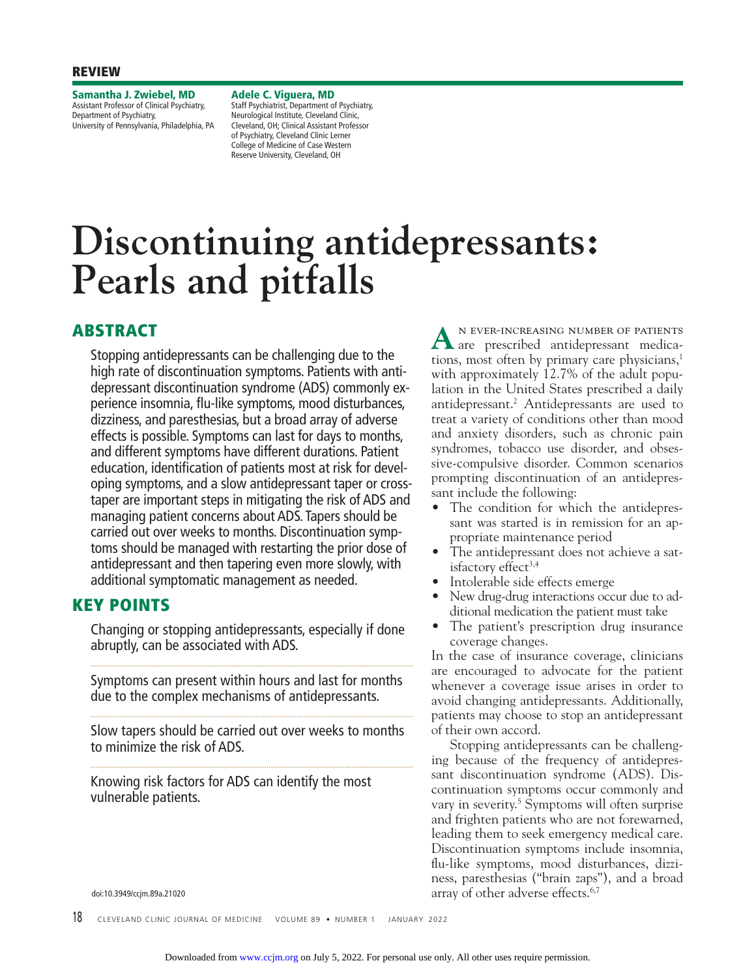#### **REVIEW**

**Samantha J. Zwiebel, MD**  Assistant Professor of Clinical Psychiatry, Department of Psychiatry, University of Pennsylvania, Philadelphia, PA

**Adele C. Viguera, MD** Staff Psychiatrist, Department of Psychiatry, Neurological Institute, Cleveland Clinic, Cleveland, OH; Clinical Assistant Professor of Psychiatry, Cleveland Clinic Lerner College of Medicine of Case Western Reserve University, Cleveland, OH

# **Discontinuing antidepressants: Pearls and pitfalls**

# **ABSTRACT**

Stopping antidepressants can be challenging due to the high rate of discontinuation symptoms. Patients with antidepressant discontinuation syndrome (ADS) commonly experience insomnia, flu-like symptoms, mood disturbances, dizziness, and paresthesias, but a broad array of adverse effects is possible. Symptoms can last for days to months, and different symptoms have different durations. Patient education, identification of patients most at risk for developing symptoms, and a slow antidepressant taper or crosstaper are important steps in mitigating the risk of ADS and managing patient concerns about ADS. Tapers should be carried out over weeks to months. Discontinuation symptoms should be managed with restarting the prior dose of antidepressant and then tapering even more slowly, with additional symptomatic management as needed.

# **KEY POINTS**

Changing or stopping antidepressants, especially if done abruptly, can be associated with ADS.

Symptoms can present within hours and last for months due to the complex mechanisms of antidepressants.

Slow tapers should be carried out over weeks to months to minimize the risk of ADS.

Knowing risk factors for ADS can identify the most vulnerable patients.

A N EVER-INCREASING NUMBER OF PATIENTS are prescribed antidepressant medications, most often by primary care physicians, $<sup>1</sup>$ </sup> with approximately 12.7% of the adult population in the United States prescribed a daily antidepressant.2 Antidepressants are used to treat a variety of conditions other than mood and anxiety disorders, such as chronic pain syndromes, tobacco use disorder, and obsessive-compulsive disorder. Common scenarios prompting discontinuation of an antidepressant include the following:

- The condition for which the antidepressant was started is in remission for an appropriate maintenance period
- The antidepressant does not achieve a satisfactory effect<sup>3,4</sup>
- Intolerable side effects emerge
- New drug-drug interactions occur due to additional medication the patient must take
- The patient's prescription drug insurance coverage changes.

In the case of insurance coverage, clinicians are encouraged to advocate for the patient whenever a coverage issue arises in order to avoid changing antidepressants. Additionally, patients may choose to stop an antidepressant of their own accord.

 Stopping antidepressants can be challenging because of the frequency of antidepressant discontinuation syndrome (ADS). Discontinuation symptoms occur commonly and vary in severity.5 Symptoms will often surprise and frighten patients who are not forewarned, leading them to seek emergency medical care. Discontinuation symptoms include insomnia, flu-like symptoms, mood disturbances, dizziness, paresthesias ("brain zaps"), and a broad array of other adverse effects.<sup>6,7</sup>

doi:10.3949/ccjm.89a.21020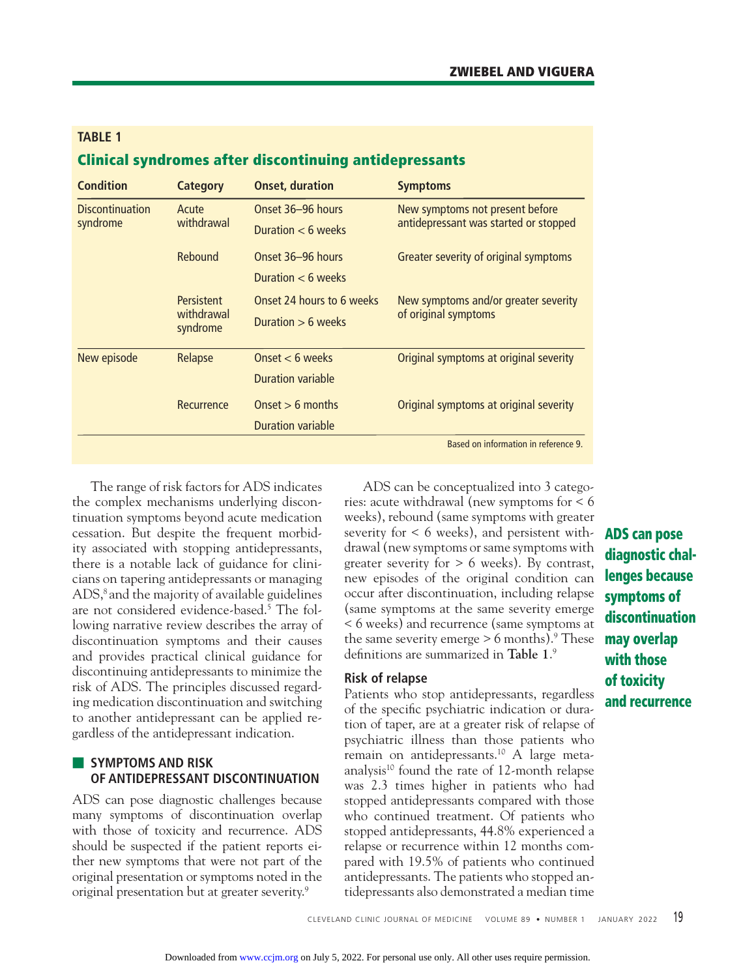New symptoms not present before antidepressant was started or stopped

Greater severity of original symptoms

New symptoms and/or greater severity

Original symptoms at original severity

Original symptoms at original severity

Based on information in reference 9.

of original symptoms

| with those of toxicity and recurrence. ADS                  | stopped antidepressants, 44.8% experienced a  |
|-------------------------------------------------------------|-----------------------------------------------|
| should be suspected if the patient reports ei-              | relapse or recurrence within 12 months com-   |
| ther new symptoms that were not part of the                 | pared with 19.5% of patients who continued    |
| original presentation or symptoms noted in the              | antidepressants. The patients who stopped an- |
| original presentation but at greater severity. <sup>9</sup> | tidepressants also demonstrated a median time |
|                                                             |                                               |

# **Clinical syndromes after discontinuing antidepressants**

Onset 36–96 hours Duration < 6 weeks

Duration < 6 weeks

Duration  $> 6$  weeks

Duration variable

Duration variable

Onset 24 hours to 6 weeks

**Condition Category Onset, duration Symptoms**

Rebound Onset 36–96 hours

Recurrence Onset > 6 months

**TABLE 1**

**Discontinuation** syndrome

Acute withdrawal

**Persistent** withdrawal syndrome

New episode Relapse Onset < 6 weeks

 The range of risk factors for ADS indicates the complex mechanisms underlying discontinuation symptoms beyond acute medication cessation. But despite the frequent morbidity associated with stopping antidepressants, there is a notable lack of guidance for clinicians on tapering antidepressants or managing  $ADS<sub>6</sub><sup>8</sup>$  and the majority of available guidelines are not considered evidence-based.5 The following narrative review describes the array of discontinuation symptoms and their causes and provides practical clinical guidance for discontinuing antidepressants to minimize the risk of ADS. The principles discussed regarding medication discontinuation and switching to another antidepressant can be applied regardless of the antidepressant indication.

# ■ **SYMPTOMS AND RISK OF ANTIDEPRESSANT DISCONTINUATION**

ADS can pose diagnostic challenges because many symptoms of discontinuation overlap with those of toxicity and recurrence. ADS should be suspected if the patient reports either new symptoms that were not part of the original presentation or symptoms noted in the

 ADS can be conceptualized into 3 categories: acute withdrawal (new symptoms for < 6 weeks), rebound (same symptoms with greater severity for < 6 weeks), and persistent withdrawal (new symptoms or same symptoms with greater severity for  $> 6$  weeks). By contrast, new episodes of the original condition can occur after discontinuation, including relapse (same symptoms at the same severity emerge < 6 weeks) and recurrence (same symptoms at the same severity emerge  $> 6$  months).<sup>9</sup> These definitions are summarized in **Table** 1.<sup>9</sup>

## **Risk of relapse**

Patients who stop antidepressants, regardless of the specific psychiatric indication or duration of taper, are at a greater risk of relapse of psychiatric illness than those patients who remain on antidepressants.10 A large metaanalysis<sup>10</sup> found the rate of 12-month relapse was 2.3 times higher in patients who had stopped antidepressants compared with those who continued treatment. Of patients who

# **diagnostic challenges because symptoms of discontinuation may overlap with those of toxicity and recurrence**

**ADS can pose**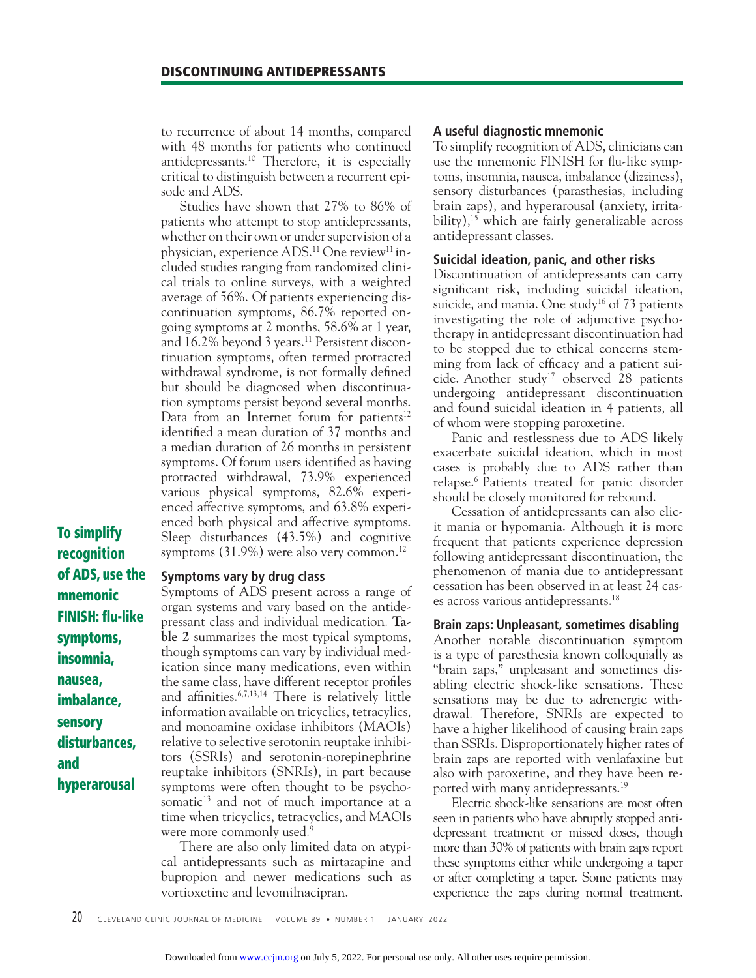to recurrence of about 14 months, compared with 48 months for patients who continued antidepressants.10 Therefore, it is especially critical to distinguish between a recurrent episode and ADS.

 Studies have shown that 27% to 86% of patients who attempt to stop antidepressants, whether on their own or under supervision of a physician, experience ADS.<sup>11</sup> One review<sup>11</sup> included studies ranging from randomized clinical trials to online surveys, with a weighted average of 56%. Of patients experiencing discontinuation symptoms, 86.7% reported ongoing symptoms at 2 months, 58.6% at 1 year, and 16.2% beyond 3 years.<sup>11</sup> Persistent discontinuation symptoms, often termed protracted withdrawal syndrome, is not formally defined but should be diagnosed when discontinuation symptoms persist beyond several months. Data from an Internet forum for patients<sup>12</sup> identified a mean duration of 37 months and a median duration of 26 months in persistent symptoms. Of forum users identified as having protracted withdrawal, 73.9% experienced various physical symptoms, 82.6% experienced affective symptoms, and 63.8% experienced both physical and affective symptoms. Sleep disturbances (43.5%) and cognitive symptoms  $(31.9\%)$  were also very common.<sup>12</sup>

**To simplify recognition of ADS, use the mnemonic FINISH: fl u-like symptoms, insomnia, nausea, imbalance, sensory disturbances, and hyperarousal**

#### **Symptoms vary by drug class**

Symptoms of ADS present across a range of organ systems and vary based on the antidepressant class and individual medication. **Table 2** summarizes the most typical symptoms, though symptoms can vary by individual medication since many medications, even within the same class, have different receptor profiles and affinities. $6,7,13,14$  There is relatively little information available on tricyclics, tetracylics, and monoamine oxidase inhibitors (MAOIs) relative to selective serotonin reuptake inhibitors (SSRIs) and serotonin-norepinephrine reuptake inhibitors (SNRIs), in part because symptoms were often thought to be psychosomatic<sup>13</sup> and not of much importance at a time when tricyclics, tetracyclics, and MAOIs were more commonly used.<sup>9</sup>

 There are also only limited data on atypical antidepressants such as mirtazapine and bupropion and newer medications such as vortioxetine and levomilnacipran.

#### **A useful diagnostic mnemonic**

To simplify recognition of ADS, clinicians can use the mnemonic FINISH for flu-like symptoms, insomnia, nausea, imbalance (dizziness), sensory disturbances (parasthesias, including brain zaps), and hyperarousal (anxiety, irritability), $15$  which are fairly generalizable across antidepressant classes.

#### **Suicidal ideation, panic, and other risks**

Discontinuation of antidepressants can carry significant risk, including suicidal ideation, suicide, and mania. One study<sup>16</sup> of  $73$  patients investigating the role of adjunctive psychotherapy in antidepressant discontinuation had to be stopped due to ethical concerns stemming from lack of efficacy and a patient suicide. Another study<sup>17</sup> observed 28 patients undergoing antidepressant discontinuation and found suicidal ideation in 4 patients, all of whom were stopping paroxetine.

 Panic and restlessness due to ADS likely exacerbate suicidal ideation, which in most cases is probably due to ADS rather than relapse.6 Patients treated for panic disorder should be closely monitored for rebound.

 Cessation of antidepressants can also elicit mania or hypomania. Although it is more frequent that patients experience depression following antidepressant discontinuation, the phenomenon of mania due to antidepressant cessation has been observed in at least 24 cases across various antidepressants.18

#### **Brain zaps: Unpleasant, sometimes disabling**

Another notable discontinuation symptom is a type of paresthesia known colloquially as "brain zaps," unpleasant and sometimes disabling electric shock-like sensations. These sensations may be due to adrenergic withdrawal. Therefore, SNRIs are expected to have a higher likelihood of causing brain zaps than SSRIs. Disproportionately higher rates of brain zaps are reported with venlafaxine but also with paroxetine, and they have been reported with many antidepressants.<sup>19</sup>

 Electric shock-like sensations are most often seen in patients who have abruptly stopped antidepressant treatment or missed doses, though more than 30% of patients with brain zaps report these symptoms either while undergoing a taper or after completing a taper. Some patients may experience the zaps during normal treatment.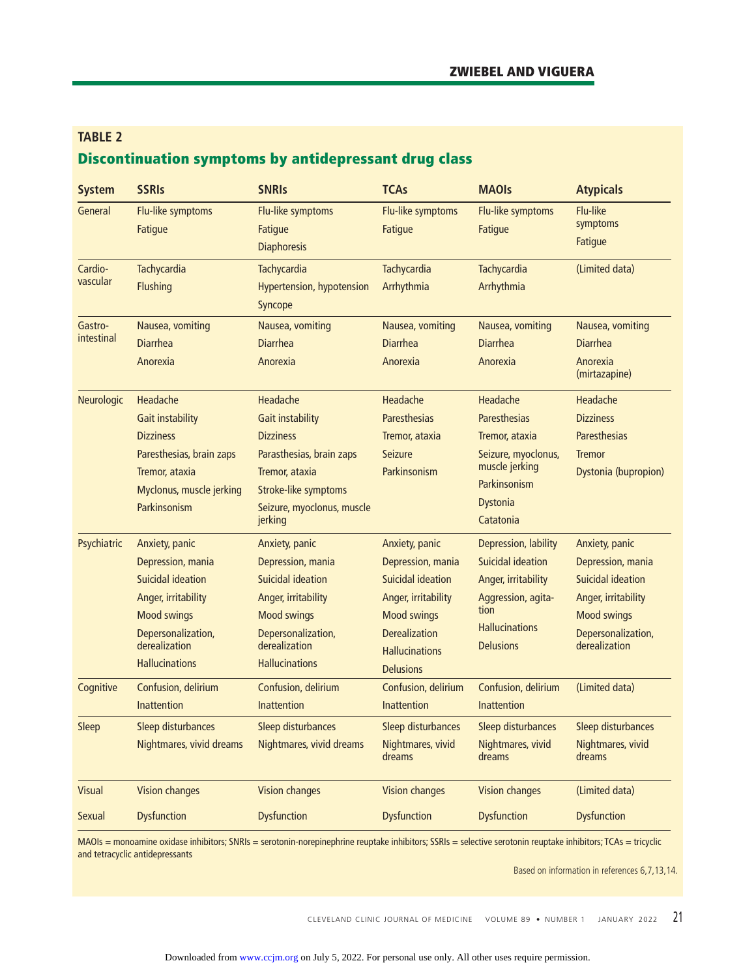# **TABLE 2 Discontinuation symptoms by antidepressant drug class**

| <b>System</b>           | <b>SSRIs</b>                                                                                                                                                          | <b>SNRIS</b>                                                                                                                                                          | <b>TCAs</b>                                                                                                                                                                       | <b>MAOIs</b>                                                                                                                                | <b>Atypicals</b>                                                                                                                                    |
|-------------------------|-----------------------------------------------------------------------------------------------------------------------------------------------------------------------|-----------------------------------------------------------------------------------------------------------------------------------------------------------------------|-----------------------------------------------------------------------------------------------------------------------------------------------------------------------------------|---------------------------------------------------------------------------------------------------------------------------------------------|-----------------------------------------------------------------------------------------------------------------------------------------------------|
| General                 | Flu-like symptoms<br>Fatigue                                                                                                                                          | Flu-like symptoms<br>Fatigue<br><b>Diaphoresis</b>                                                                                                                    | Flu-like symptoms<br>Fatigue                                                                                                                                                      | Flu-like symptoms<br>Fatigue                                                                                                                | Flu-like<br>symptoms<br>Fatigue                                                                                                                     |
| Cardio-<br>vascular     | Tachycardia<br><b>Flushing</b>                                                                                                                                        | Tachycardia<br>Hypertension, hypotension<br>Syncope                                                                                                                   | Tachycardia<br>Arrhythmia                                                                                                                                                         | Tachycardia<br>Arrhythmia                                                                                                                   | (Limited data)                                                                                                                                      |
| Gastro-<br>intestinal   | Nausea, vomiting<br><b>Diarrhea</b><br>Anorexia                                                                                                                       | Nausea, vomiting<br><b>Diarrhea</b><br>Anorexia                                                                                                                       | Nausea, vomiting<br><b>Diarrhea</b><br>Anorexia                                                                                                                                   | Nausea, vomiting<br><b>Diarrhea</b><br>Anorexia                                                                                             | Nausea, vomiting<br><b>Diarrhea</b><br>Anorexia<br>(mirtazapine)                                                                                    |
| Neurologic              | Headache<br>Gait instability<br><b>Dizziness</b><br>Paresthesias, brain zaps<br>Tremor, ataxia<br>Myclonus, muscle jerking<br>Parkinsonism                            | Headache<br>Gait instability<br><b>Dizziness</b><br>Parasthesias, brain zaps<br>Tremor, ataxia<br>Stroke-like symptoms<br>Seizure, myoclonus, muscle<br>jerking       | Headache<br>Paresthesias<br>Tremor, ataxia<br>Seizure<br>Parkinsonism                                                                                                             | Headache<br><b>Paresthesias</b><br>Tremor, ataxia<br>Seizure, myoclonus,<br>muscle jerking<br>Parkinsonism<br>Dystonia<br>Catatonia         | Headache<br><b>Dizziness</b><br>Paresthesias<br><b>Tremor</b><br>Dystonia (bupropion)                                                               |
| Psychiatric             | Anxiety, panic<br>Depression, mania<br>Suicidal ideation<br>Anger, irritability<br><b>Mood swings</b><br>Depersonalization,<br>derealization<br><b>Hallucinations</b> | Anxiety, panic<br>Depression, mania<br>Suicidal ideation<br>Anger, irritability<br><b>Mood swings</b><br>Depersonalization,<br>derealization<br><b>Hallucinations</b> | Anxiety, panic<br>Depression, mania<br><b>Suicidal ideation</b><br>Anger, irritability<br><b>Mood swings</b><br><b>Derealization</b><br><b>Hallucinations</b><br><b>Delusions</b> | Depression, lability<br>Suicidal ideation<br>Anger, irritability<br>Aggression, agita-<br>tion<br><b>Hallucinations</b><br><b>Delusions</b> | Anxiety, panic<br>Depression, mania<br><b>Suicidal ideation</b><br>Anger, irritability<br><b>Mood swings</b><br>Depersonalization,<br>derealization |
| Cognitive               | Confusion, delirium<br><b>Inattention</b>                                                                                                                             | Confusion, delirium<br><b>Inattention</b>                                                                                                                             | Confusion, delirium<br><b>Inattention</b>                                                                                                                                         | Confusion, delirium<br><b>Inattention</b>                                                                                                   | (Limited data)                                                                                                                                      |
| Sleep                   | Sleep disturbances<br>Nightmares, vivid dreams                                                                                                                        | Sleep disturbances<br>Nightmares, vivid dreams                                                                                                                        | Sleep disturbances<br>Nightmares, vivid<br>dreams                                                                                                                                 | Sleep disturbances<br>Nightmares, vivid<br>dreams                                                                                           | <b>Sleep disturbances</b><br>Nightmares, vivid<br>dreams                                                                                            |
| <b>Visual</b><br>Sexual | <b>Vision changes</b><br><b>Dysfunction</b>                                                                                                                           | <b>Vision changes</b><br><b>Dysfunction</b>                                                                                                                           | <b>Vision changes</b><br><b>Dysfunction</b>                                                                                                                                       | <b>Vision changes</b><br><b>Dysfunction</b>                                                                                                 | (Limited data)<br><b>Dysfunction</b>                                                                                                                |

MAOIs = monoamine oxidase inhibitors; SNRIs = serotonin-norepinephrine reuptake inhibitors; SSRIs = selective serotonin reuptake inhibitors; TCAs = tricyclic and tetracyclic antidepressants

Based on information in references 6,7,13,14.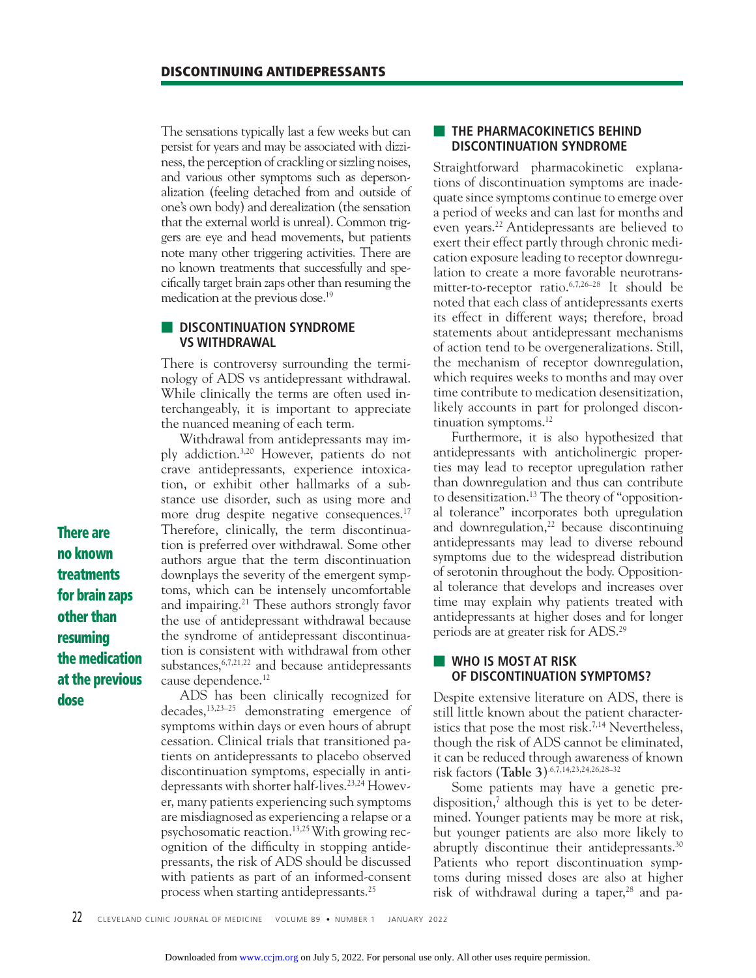The sensations typically last a few weeks but can persist for years and may be associated with dizziness, the perception of crackling or sizzling noises, and various other symptoms such as depersonalization (feeling detached from and outside of one's own body) and derealization (the sensation that the external world is unreal). Common triggers are eye and head movements, but patients note many other triggering activities. There are no known treatments that successfully and specifi cally target brain zaps other than resuming the medication at the previous dose.<sup>19</sup>

#### ■ **DISCONTINUATION SYNDROME VS WITHDRAWAL**

There is controversy surrounding the terminology of ADS vs antidepressant withdrawal. While clinically the terms are often used interchangeably, it is important to appreciate the nuanced meaning of each term.

Withdrawal from antidepressants may imply addiction.3,20 However, patients do not crave antidepressants, experience intoxication, or exhibit other hallmarks of a substance use disorder, such as using more and more drug despite negative consequences.<sup>17</sup> Therefore, clinically, the term discontinuation is preferred over withdrawal. Some other authors argue that the term discontinuation downplays the severity of the emergent symptoms, which can be intensely uncomfortable and impairing.21 These authors strongly favor the use of antidepressant withdrawal because the syndrome of antidepressant discontinuation is consistent with withdrawal from other substances,  $6,7,21,22$  and because antidepressants cause dependence.12

 ADS has been clinically recognized for decades,13,23–25 demonstrating emergence of symptoms within days or even hours of abrupt cessation. Clinical trials that transitioned patients on antidepressants to placebo observed discontinuation symptoms, especially in antidepressants with shorter half-lives.23,24 However, many patients experiencing such symptoms are misdiagnosed as experiencing a relapse or a psychosomatic reaction.13,25 With growing recognition of the difficulty in stopping antidepressants, the risk of ADS should be discussed with patients as part of an informed-consent process when starting antidepressants.25

#### **EXTHE PHARMACOKINETICS BEHIND DISCONTINUATION SYNDROME**

Straightforward pharmacokinetic explanations of discontinuation symptoms are inadequate since symptoms continue to emerge over a period of weeks and can last for months and even years.22 Antidepressants are believed to exert their effect partly through chronic medication exposure leading to receptor downregulation to create a more favorable neurotransmitter-to-receptor ratio.6,7,26–28 It should be noted that each class of antidepressants exerts its effect in different ways; therefore, broad statements about antidepressant mechanisms of action tend to be overgeneralizations. Still, the mechanism of receptor downregulation, which requires weeks to months and may over time contribute to medication desensitization, likely accounts in part for prolonged discontinuation symptoms. $^{12}$ 

 Furthermore, it is also hypothesized that antidepressants with anticholinergic properties may lead to receptor upregulation rather than downregulation and thus can contribute to desensitization.<sup>13</sup> The theory of "oppositional tolerance" incorporates both upregulation and downregulation, $22$  because discontinuing antidepressants may lead to diverse rebound symptoms due to the widespread distribution of serotonin throughout the body. Oppositional tolerance that develops and increases over time may explain why patients treated with antidepressants at higher doses and for longer periods are at greater risk for ADS.29

#### ■ **WHO IS MOST AT RISK OF DISCONTINUATION SYMPTOMS?**

Despite extensive literature on ADS, there is still little known about the patient characteristics that pose the most risk.<sup>7,14</sup> Nevertheless, though the risk of ADS cannot be eliminated, it can be reduced through awareness of known risk factors (**Table 3**).6,7,14,23,24,26,28–32

 Some patients may have a genetic predisposition,7 although this is yet to be determined. Younger patients may be more at risk, but younger patients are also more likely to abruptly discontinue their antidepressants.30 Patients who report discontinuation symptoms during missed doses are also at higher risk of withdrawal during a taper, $28$  and pa-

**There are no known treatments for brain zaps other than resuming the medication at the previous dose**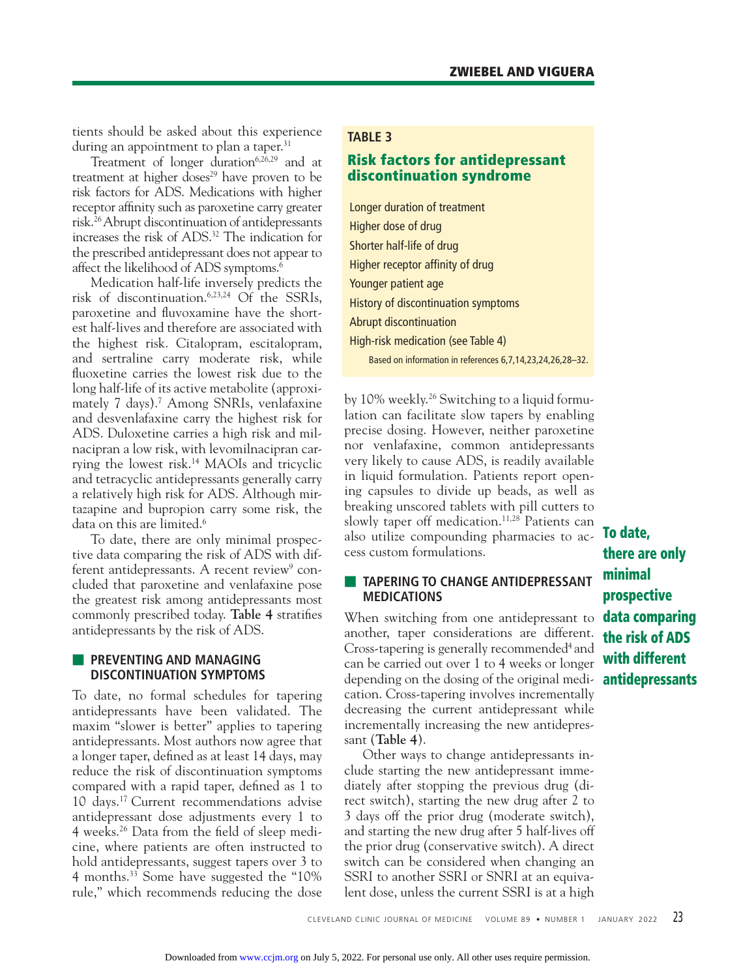tients should be asked about this experience during an appointment to plan a taper.<sup>31</sup>

Treatment of longer duration<sup>6,26,29</sup> and at treatment at higher doses<sup>29</sup> have proven to be risk factors for ADS. Medications with higher receptor affinity such as paroxetine carry greater risk.26 Abrupt discontinuation of antidepressants increases the risk of ADS.32 The indication for the prescribed antidepressant does not appear to affect the likelihood of ADS symptoms.6

 Medication half-life inversely predicts the risk of discontinuation.6,23,24 Of the SSRIs, paroxetine and fluvoxamine have the shortest half-lives and therefore are associated with the highest risk. Citalopram, escitalopram, and sertraline carry moderate risk, while fluoxetine carries the lowest risk due to the long half-life of its active metabolite (approximately 7 days).7 Among SNRIs, venlafaxine and desvenlafaxine carry the highest risk for ADS. Duloxetine carries a high risk and milnacipran a low risk, with levomilnacipran carrying the lowest risk.14 MAOIs and tricyclic and tetracyclic antidepressants generally carry a relatively high risk for ADS. Although mirtazapine and bupropion carry some risk, the data on this are limited.<sup>6</sup>

 To date, there are only minimal prospective data comparing the risk of ADS with different antidepressants. A recent review<sup>9</sup> concluded that paroxetine and venlafaxine pose the greatest risk among antidepressants most commonly prescribed today. **Table 4** stratifies antidepressants by the risk of ADS.

#### **EXPREVENTING AND MANAGING DISCONTINUATION SYMPTOMS**

To date, no formal schedules for tapering antidepressants have been validated. The maxim "slower is better" applies to tapering antidepressants. Most authors now agree that a longer taper, defined as at least 14 days, may reduce the risk of discontinuation symptoms compared with a rapid taper, defined as 1 to 10 days.17 Current recommendations advise antidepressant dose adjustments every 1 to 4 weeks.<sup>26</sup> Data from the field of sleep medicine, where patients are often instructed to hold antidepressants, suggest tapers over 3 to 4 months.33 Some have suggested the "10% rule," which recommends reducing the dose

## **TABLE 3**

# **Risk factors for antidepressant discontinuation syndrome**

Longer duration of treatment Higher dose of drug Shorter half-life of drug Higher receptor affinity of drug Younger patient age History of discontinuation symptoms Abrupt discontinuation High-risk medication (see Table 4) Based on information in references 6,7,14,23,24,26,28–32.

by 10% weekly.<sup>26</sup> Switching to a liquid formulation can facilitate slow tapers by enabling precise dosing. However, neither paroxetine nor venlafaxine, common antidepressants very likely to cause ADS, is readily available in liquid formulation. Patients report opening capsules to divide up beads, as well as breaking unscored tablets with pill cutters to slowly taper off medication.<sup>11,28</sup> Patients can also utilize compounding pharmacies to access custom formulations.

# **■ TAPERING TO CHANGE ANTIDEPRESSANT MEDICATIONS**

When switching from one antidepressant to another, taper considerations are different. Cross-tapering is generally recommended<sup>4</sup> and can be carried out over 1 to 4 weeks or longer depending on the dosing of the original medication. Cross-tapering involves incrementally decreasing the current antidepressant while incrementally increasing the new antidepressant (**Table 4**).

 Other ways to change antidepressants include starting the new antidepressant immediately after stopping the previous drug (direct switch), starting the new drug after 2 to 3 days off the prior drug (moderate switch), and starting the new drug after 5 half-lives off the prior drug (conservative switch). A direct switch can be considered when changing an SSRI to another SSRI or SNRI at an equivalent dose, unless the current SSRI is at a high

**To date, there are only minimal prospective data comparing the risk of ADS with different antidepressants**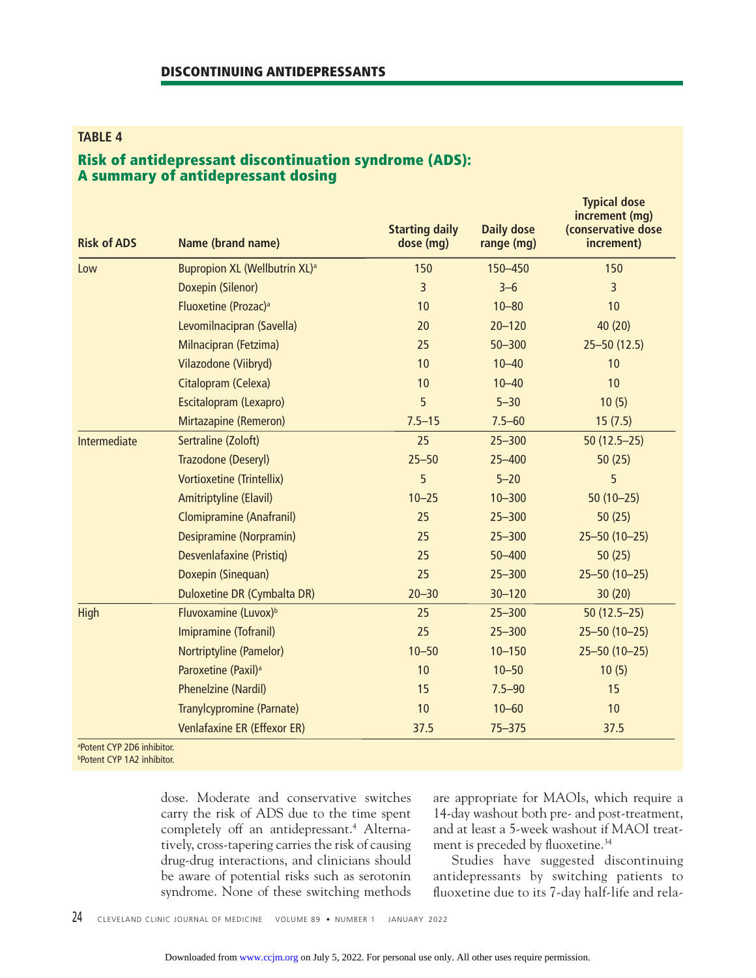#### **TABLE 4**

# **Risk of antidepressant discontinuation syndrome (ADS): A summary of antidepressant dosing**

| <b>Risk of ADS</b> | Name (brand name)                         | <b>Starting daily</b><br>dose (mg) | <b>Daily dose</b><br>range (mg) | <b>Typical dose</b><br>increment (mq)<br>(conservative dose<br>increment) |
|--------------------|-------------------------------------------|------------------------------------|---------------------------------|---------------------------------------------------------------------------|
| Low                | Bupropion XL (Wellbutrin XL) <sup>a</sup> | 150                                | 150-450                         | 150                                                                       |
|                    | Doxepin (Silenor)                         | $\overline{3}$                     | $3 - 6$                         | $\overline{3}$                                                            |
|                    | Fluoxetine (Prozac) <sup>a</sup>          | 10                                 | $10 - 80$                       | 10                                                                        |
|                    | Levomilnacipran (Savella)                 | 20                                 | $20 - 120$                      | 40 (20)                                                                   |
|                    | Milnacipran (Fetzima)                     | 25                                 | $50 - 300$                      | $25 - 50(12.5)$                                                           |
|                    | Vilazodone (Viibryd)                      | 10                                 | $10 - 40$                       | 10                                                                        |
|                    | Citalopram (Celexa)                       | 10                                 | $10 - 40$                       | 10                                                                        |
|                    | Escitalopram (Lexapro)                    | 5                                  | $5 - 30$                        | 10(5)                                                                     |
|                    | <b>Mirtazapine (Remeron)</b>              | $7.5 - 15$                         | $7.5 - 60$                      | 15(7.5)                                                                   |
| Intermediate       | Sertraline (Zoloft)                       | 25                                 | $25 - 300$                      | $50(12.5-25)$                                                             |
|                    | Trazodone (Deseryl)                       | $25 - 50$                          | $25 - 400$                      | 50(25)                                                                    |
|                    | Vortioxetine (Trintellix)                 | 5                                  | $5 - 20$                        | 5                                                                         |
|                    | <b>Amitriptyline (Elavil)</b>             | $10 - 25$                          | $10 - 300$                      | $50(10-25)$                                                               |
|                    | <b>Clomipramine (Anafranil)</b>           | 25                                 | $25 - 300$                      | 50(25)                                                                    |
|                    | <b>Desipramine (Norpramin)</b>            | 25                                 | $25 - 300$                      | $25 - 50(10 - 25)$                                                        |
|                    | Desvenlafaxine (Pristiq)                  | 25                                 | $50 - 400$                      | 50(25)                                                                    |
|                    | Doxepin (Sinequan)                        | 25                                 | $25 - 300$                      | $25 - 50(10 - 25)$                                                        |
|                    | <b>Duloxetine DR (Cymbalta DR)</b>        | $20 - 30$                          | $30 - 120$                      | 30(20)                                                                    |
| High               | Fluvoxamine (Luvox) <sup>b</sup>          | 25                                 | $25 - 300$                      | $50(12.5-25)$                                                             |
|                    | Imipramine (Tofranil)                     | 25                                 | $25 - 300$                      | $25 - 50(10 - 25)$                                                        |
|                    | Nortriptyline (Pamelor)                   | $10 - 50$                          | $10 - 150$                      | $25 - 50(10 - 25)$                                                        |
|                    | Paroxetine (Paxil) <sup>a</sup>           | 10                                 | $10 - 50$                       | 10(5)                                                                     |
|                    | <b>Phenelzine (Nardil)</b>                | 15                                 | $7.5 - 90$                      | 15                                                                        |
|                    | <b>Tranylcypromine (Parnate)</b>          | 10 <sup>1</sup>                    | $10 - 60$                       | 10                                                                        |
|                    | <b>Venlafaxine ER (Effexor ER)</b>        | 37.5                               | $75 - 375$                      | 37.5                                                                      |
|                    |                                           |                                    |                                 |                                                                           |

a Potent CYP 2D6 inhibitor. b Potent CYP 1A2 inhibitor.

> dose. Moderate and conservative switches carry the risk of ADS due to the time spent completely off an antidepressant.4 Alternatively, cross-tapering carries the risk of causing drug-drug interactions, and clinicians should be aware of potential risks such as serotonin syndrome. None of these switching methods

are appropriate for MAOIs, which require a 14-day washout both pre- and post-treatment, and at least a 5-week washout if MAOI treatment is preceded by fluoxetine.<sup>34</sup>

 Studies have suggested discontinuing antidepressants by switching patients to fluoxetine due to its 7-day half-life and rela-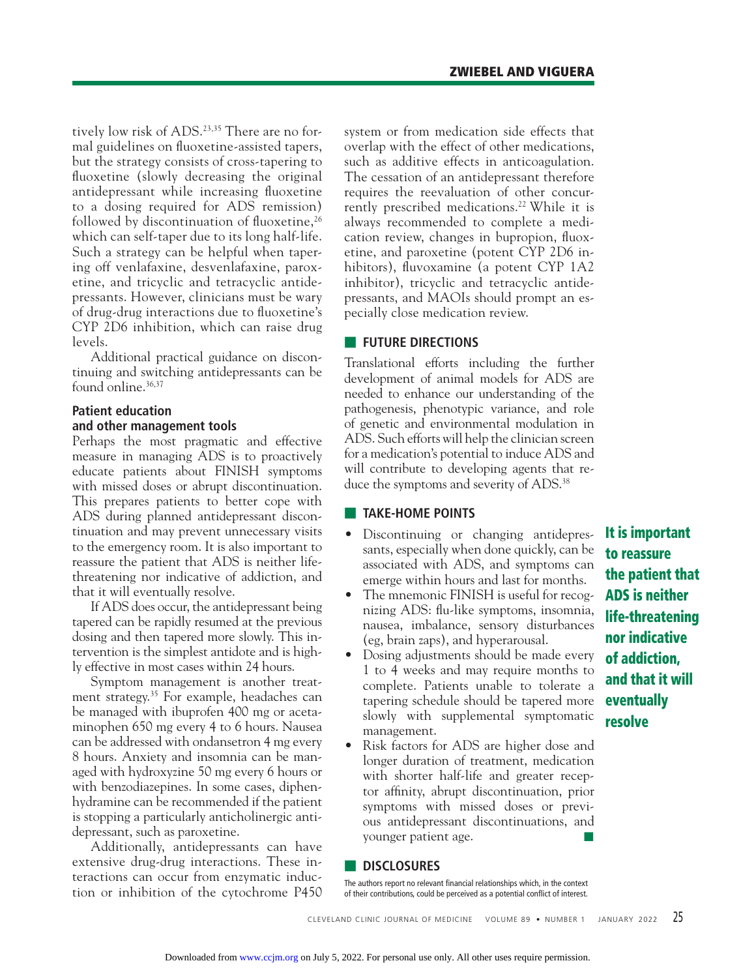tively low risk of ADS.<sup>23,35</sup> There are no formal guidelines on fluoxetine-assisted tapers, but the strategy consists of cross-tapering to fluoxetine (slowly decreasing the original antidepressant while increasing fluoxetine to a dosing required for ADS remission) followed by discontinuation of fluoxetine,  $26$ which can self-taper due to its long half-life. Such a strategy can be helpful when tapering off venlafaxine, desvenlafaxine, paroxetine, and tricyclic and tetracyclic antidepressants. However, clinicians must be wary of drug-drug interactions due to fluoxetine's CYP 2D6 inhibition, which can raise drug levels.

 Additional practical guidance on discontinuing and switching antidepressants can be found online.<sup>36,37</sup>

# **Patient education and other management tools**

Perhaps the most pragmatic and effective measure in managing ADS is to proactively educate patients about FINISH symptoms with missed doses or abrupt discontinuation. This prepares patients to better cope with ADS during planned antidepressant discontinuation and may prevent unnecessary visits to the emergency room. It is also important to reassure the patient that ADS is neither lifethreatening nor indicative of addiction, and that it will eventually resolve.

 If ADS does occur, the antidepressant being tapered can be rapidly resumed at the previous dosing and then tapered more slowly. This intervention is the simplest antidote and is highly effective in most cases within 24 hours.

 Symptom management is another treatment strategy.35 For example, headaches can be managed with ibuprofen 400 mg or acetaminophen 650 mg every 4 to 6 hours. Nausea can be addressed with ondansetron 4 mg every 8 hours. Anxiety and insomnia can be managed with hydroxyzine 50 mg every 6 hours or with benzodiazepines. In some cases, diphenhydramine can be recommended if the patient is stopping a particularly anticholinergic antidepressant, such as paroxetine.

 Additionally, antidepressants can have extensive drug-drug interactions. These interactions can occur from enzymatic induction or inhibition of the cytochrome P450

system or from medication side effects that overlap with the effect of other medications, such as additive effects in anticoagulation. The cessation of an antidepressant therefore requires the reevaluation of other concurrently prescribed medications.<sup>22</sup> While it is always recommended to complete a medication review, changes in bupropion, fluoxetine, and paroxetine (potent CYP 2D6 inhibitors), fluvoxamine (a potent CYP 1A2 inhibitor), tricyclic and tetracyclic antidepressants, and MAOIs should prompt an especially close medication review.

#### ■ **FUTURE DIRECTIONS**

Translational efforts including the further development of animal models for ADS are needed to enhance our understanding of the pathogenesis, phenotypic variance, and role of genetic and environmental modulation in ADS. Such efforts will help the clinician screen for a medication's potential to induce ADS and will contribute to developing agents that reduce the symptoms and severity of ADS.<sup>38</sup>

#### ■ **TAKE-HOME POINTS**

- Discontinuing or changing antidepressants, especially when done quickly, can be associated with ADS, and symptoms can emerge within hours and last for months.
- The mnemonic FINISH is useful for recognizing ADS: flu-like symptoms, insomnia, nausea, imbalance, sensory disturbances (eg, brain zaps), and hyperarousal.
- Dosing adjustments should be made every 1 to 4 weeks and may require months to complete. Patients unable to tolerate a tapering schedule should be tapered more slowly with supplemental symptomatic management.
- Risk factors for ADS are higher dose and longer duration of treatment, medication with shorter half-life and greater receptor affinity, abrupt discontinuation, prior symptoms with missed doses or previous antidepressant discontinuations, and younger patient age.

#### ■ **DISCLOSURES**

Downloaded from [www.ccjm.org](http://www.ccjm.org/) on July 5, 2022. For personal use only. All other uses require permission.

The authors report no relevant financial relationships which, in the context of their contributions, could be perceived as a potential conflict of interest.

**It is important to reassure the patient that ADS is neither life-threatening nor indicative of addiction, and that it will eventually resolve**

### CLEVELAND CLINIC JOURNAL OF MEDICINE VOLUME 89 • NUMBER 1 JANUARY 2022 25